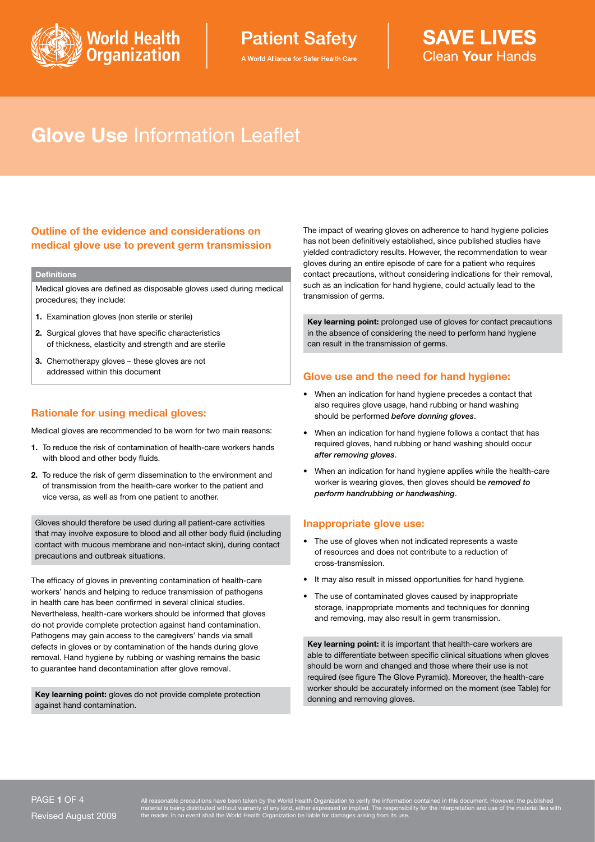

# **Glove Use** Information Leaflet

# **Outline of the evidence and considerations on medical glove use to prevent germ transmission**

#### **Definitions**

Medical gloves are defined as disposable gloves used during medical procedures; they include:

- **1.** Examination gloves (non sterile or sterile)
- **2.** Surgical gloves that have specific characteristics of thickness, elasticity and strength and are sterile
- **3.** Chemotherapy gloves these gloves are not addressed within this document

## **Rationale for using medical gloves:**

Medical gloves are recommended to be worn for two main reasons:

- **1.** To reduce the risk of contamination of health-care workers hands with blood and other body fluids.
- **2.** To reduce the risk of germ dissemination to the environment and of transmission from the health-care worker to the patient and vice versa, as well as from one patient to another.

Gloves should therefore be used during all patient-care activities that may involve exposure to blood and all other body fluid (including contact with mucous membrane and non-intact skin), during contact precautions and outbreak situations.

The efficacy of gloves in preventing contamination of health-care workers' hands and helping to reduce transmission of pathogens in health care has been confirmed in several clinical studies. Nevertheless, health-care workers should be informed that gloves do not provide complete protection against hand contamination. Pathogens may gain access to the caregivers' hands via small defects in gloves or by contamination of the hands during glove removal. Hand hygiene by rubbing or washing remains the basic to guarantee hand decontamination after glove removal.

**Key learning point:** gloves do not provide complete protection against hand contamination.

The impact of wearing gloves on adherence to hand hygiene policies has not been definitively established, since published studies have yielded contradictory results. However, the recommendation to wear gloves during an entire episode of care for a patient who requires contact precautions, without considering indications for their removal, such as an indication for hand hygiene, could actually lead to the transmission of germs.

**Key learning point:** prolonged use of gloves for contact precautions in the absence of considering the need to perform hand hygiene can result in the transmission of germs.

## **Glove use and the need for hand hygiene:**

- When an indication for hand hygiene precedes a contact that also requires glove usage, hand rubbing or hand washing should be performed *before donning gloves*.
- When an indication for hand hygiene follows a contact that has required gloves, hand rubbing or hand washing should occur *after removing gloves*.
- When an indication for hand hygiene applies while the health-care worker is wearing gloves, then gloves should be *removed to perform handrubbing or handwashing*.

### **Inappropriate glove use:**

- The use of gloves when not indicated represents a waste of resources and does not contribute to a reduction of cross-transmission.
- It may also result in missed opportunities for hand hygiene.
- The use of contaminated gloves caused by inappropriate storage, inappropriate moments and techniques for donning and removing, may also result in germ transmission.

**Key learning point:** it is important that health-care workers are able to differentiate between specific clinical situations when gloves should be worn and changed and those where their use is not required (see figure The Glove Pyramid). Moreover, the health-care worker should be accurately informed on the moment (see Table) for donning and removing gloves.

All reasonable precautions have been taken by the World Health Organization to verify the information contained in this document. However, the published<br>material is being distributed without warranty of any kind, either ex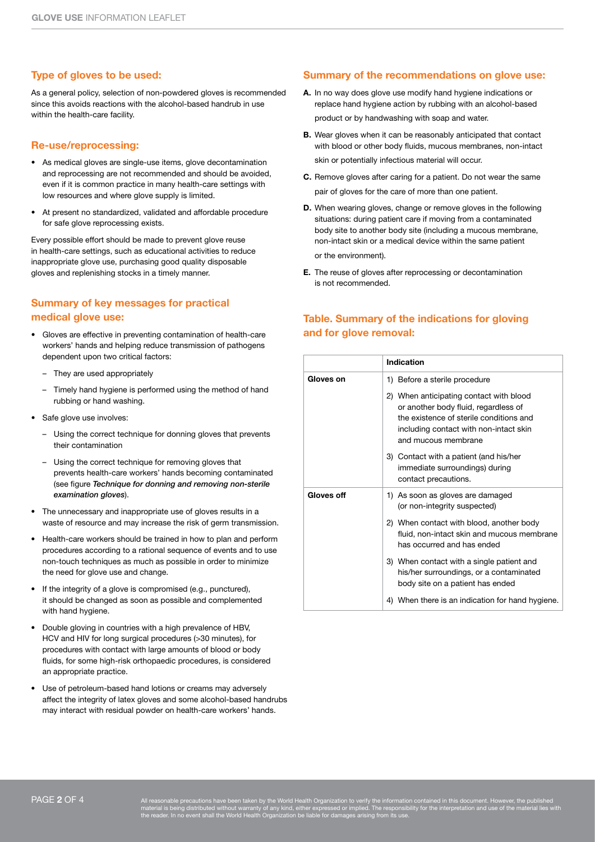## **Type of gloves to be used:**

As a general policy, selection of non-powdered gloves is recommended since this avoids reactions with the alcohol-based handrub in use within the health-care facility.

#### **Re-use/reprocessing:**

- As medical gloves are single-use items, glove decontamination and reprocessing are not recommended and should be avoided, even if it is common practice in many health-care settings with low resources and where glove supply is limited.
- At present no standardized, validated and affordable procedure for safe glove reprocessing exists.

Every possible effort should be made to prevent glove reuse in health-care settings, such as educational activities to reduce inappropriate glove use, purchasing good quality disposable gloves and replenishing stocks in a timely manner.

# **Summary of key messages for practical medical glove use:**

- Gloves are effective in preventing contamination of health-care workers' hands and helping reduce transmission of pathogens dependent upon two critical factors:
	- They are used appropriately
	- Timely hand hygiene is performed using the method of hand rubbing or hand washing.
- Safe glove use involves:
	- Using the correct technique for donning gloves that prevents their contamination
	- Using the correct technique for removing gloves that prevents health-care workers' hands becoming contaminated (see figure *Technique for donning and removing non-sterile examination gloves*).
- The unnecessary and inappropriate use of gloves results in a waste of resource and may increase the risk of germ transmission.
- Health-care workers should be trained in how to plan and perform procedures according to a rational sequence of events and to use non-touch techniques as much as possible in order to minimize the need for glove use and change.
- If the integrity of a glove is compromised (e.g., punctured), it should be changed as soon as possible and complemented with hand hygiene.
- Double gloving in countries with a high prevalence of HBV, HCV and HIV for long surgical procedures (>30 minutes), for procedures with contact with large amounts of blood or body fluids, for some high-risk orthopaedic procedures, is considered an appropriate practice.
- Use of petroleum-based hand lotions or creams may adversely affect the integrity of latex gloves and some alcohol-based handrubs may interact with residual powder on health-care workers' hands.

#### **Summary of the recommendations on glove use:**

- **A.** In no way does glove use modify hand hygiene indications or replace hand hygiene action by rubbing with an alcohol-based product or by handwashing with soap and water.
- **B.** Wear gloves when it can be reasonably anticipated that contact with blood or other body fluids, mucous membranes, non-intact skin or potentially infectious material will occur.
- **C.** Remove gloves after caring for a patient. Do not wear the same pair of gloves for the care of more than one patient.
- **D.** When wearing gloves, change or remove gloves in the following situations: during patient care if moving from a contaminated body site to another body site (including a mucous membrane, non-intact skin or a medical device within the same patient or the environment).
- **E.** The reuse of gloves after reprocessing or decontamination is not recommended.

# **Table. Summary of the indications for gloving and for glove removal:**

|                   | Indication                                                                                                                                                                                  |
|-------------------|---------------------------------------------------------------------------------------------------------------------------------------------------------------------------------------------|
| Gloves on         | 1) Before a sterile procedure                                                                                                                                                               |
|                   | 2) When anticipating contact with blood<br>or another body fluid, regardless of<br>the existence of sterile conditions and<br>including contact with non-intact skin<br>and mucous membrane |
|                   | 3) Contact with a patient (and his/her<br>immediate surroundings) during<br>contact precautions.                                                                                            |
| <b>Gloves off</b> | 1) As soon as gloves are damaged<br>(or non-integrity suspected)                                                                                                                            |
|                   | 2) When contact with blood, another body<br>fluid, non-intact skin and mucous membrane<br>has occurred and has ended                                                                        |
|                   | 3) When contact with a single patient and<br>his/her surroundings, or a contaminated<br>body site on a patient has ended                                                                    |
|                   | 4) When there is an indication for hand hygiene.                                                                                                                                            |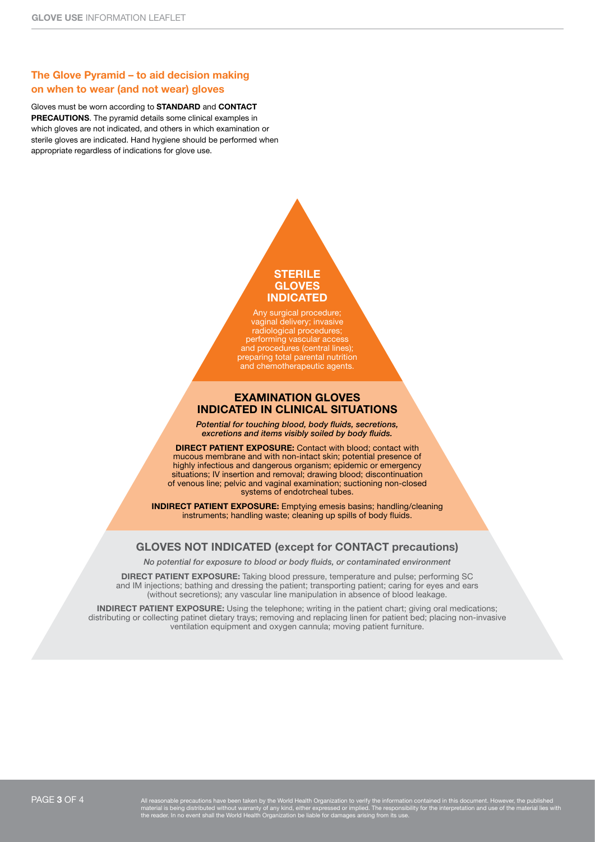## **The Glove Pyramid – to aid decision making on when to wear (and not wear) gloves**

Gloves must be worn according to **STANDARD** and **CONTACT PRECAUTIONS**. The pyramid details some clinical examples in which gloves are not indicated, and others in which examination or sterile gloves are indicated. Hand hygiene should be performed when appropriate regardless of indications for glove use.



Any surgical procedure; vaginal delivery; invasive radiological procedures; performing vascular access and procedures (central lines); preparing total parental nutrition and chemotherapeutic agents.

#### **EXAMINATION GLOVES INDICATED IN CLINICAL SITUATIONS**

*Potential for touching blood, body fluids, secretions, excretions and items visibly soiled by body fluids.*

**DIRECT PATIENT EXPOSURE:** Contact with blood; contact with mucous membrane and with non-intact skin; potential presence of highly infectious and dangerous organism; epidemic or emergency situations; IV insertion and removal; drawing blood; discontinuation of venous line; pelvic and vaginal examination; suctioning non-closed systems of endotrcheal tubes.

**INDIRECT PATIENT EXPOSURE:** Emptying emesis basins; handling/cleaning instruments; handling waste; cleaning up spills of body fluids.

## **GLOVES NOT INDICATED (except for CONTACT precautions)**

*No potential for exposure to blood or body fluids, or contaminated environment*

**DIRECT PATIENT EXPOSURE:** Taking blood pressure, temperature and pulse; performing SC and IM injections; bathing and dressing the patient; transporting patient; caring for eyes and ears (without secretions); any vascular line manipulation in absence of blood leakage.

**INDIRECT PATIENT EXPOSURE:** Using the telephone; writing in the patient chart; giving oral medications; distributing or collecting patinet dietary trays; removing and replacing linen for patient bed; placing non-invasive ventilation equipment and oxygen cannula; moving patient furniture.

All reasonable precautions have been taken by the World Health Organization to verify the information contained in this document. However, the published<br>material is being distributed without warranty of any kind, either ex